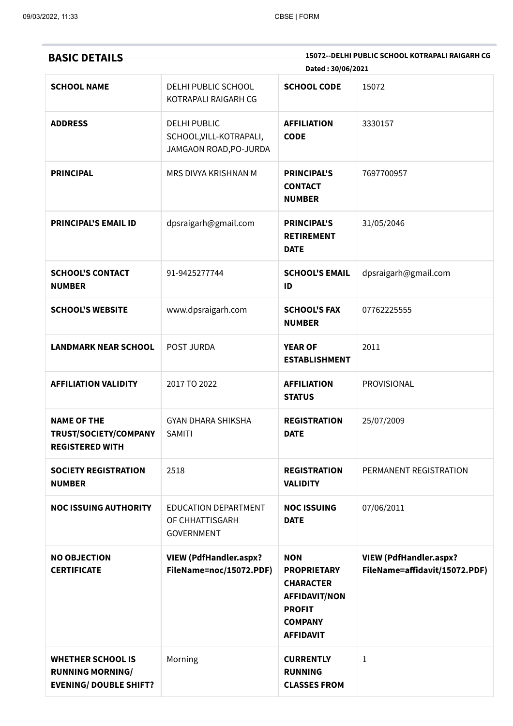| <b>BASIC DETAILS</b>                                                                 |                                                                          | Dated: 30/06/2021                                                                                                                   | 15072--DELHI PUBLIC SCHOOL KOTRAPALI RAIGARH CG                |
|--------------------------------------------------------------------------------------|--------------------------------------------------------------------------|-------------------------------------------------------------------------------------------------------------------------------------|----------------------------------------------------------------|
| <b>SCHOOL NAME</b>                                                                   | DELHI PUBLIC SCHOOL<br>KOTRAPALI RAIGARH CG                              | <b>SCHOOL CODE</b>                                                                                                                  | 15072                                                          |
| <b>ADDRESS</b>                                                                       | <b>DELHI PUBLIC</b><br>SCHOOL, VILL-KOTRAPALI,<br>JAMGAON ROAD, PO-JURDA | <b>AFFILIATION</b><br><b>CODE</b>                                                                                                   | 3330157                                                        |
| <b>PRINCIPAL</b>                                                                     | MRS DIVYA KRISHNAN M                                                     | <b>PRINCIPAL'S</b><br><b>CONTACT</b><br><b>NUMBER</b>                                                                               | 7697700957                                                     |
| <b>PRINCIPAL'S EMAIL ID</b>                                                          | dpsraigarh@gmail.com                                                     | <b>PRINCIPAL'S</b><br><b>RETIREMENT</b><br><b>DATE</b>                                                                              | 31/05/2046                                                     |
| <b>SCHOOL'S CONTACT</b><br><b>NUMBER</b>                                             | 91-9425277744                                                            | <b>SCHOOL'S EMAIL</b><br>ID                                                                                                         | dpsraigarh@gmail.com                                           |
| <b>SCHOOL'S WEBSITE</b>                                                              | www.dpsraigarh.com                                                       | <b>SCHOOL'S FAX</b><br><b>NUMBER</b>                                                                                                | 07762225555                                                    |
| <b>LANDMARK NEAR SCHOOL</b>                                                          | POST JURDA                                                               | <b>YEAR OF</b><br><b>ESTABLISHMENT</b>                                                                                              | 2011                                                           |
| <b>AFFILIATION VALIDITY</b>                                                          | 2017 TO 2022                                                             | <b>AFFILIATION</b><br><b>STATUS</b>                                                                                                 | PROVISIONAL                                                    |
| <b>NAME OF THE</b><br>TRUST/SOCIETY/COMPANY<br><b>REGISTERED WITH</b>                | <b>GYAN DHARA SHIKSHA</b><br><b>SAMITI</b>                               | <b>REGISTRATION</b><br><b>DATE</b>                                                                                                  | 25/07/2009                                                     |
| <b>SOCIETY REGISTRATION</b><br><b>NUMBER</b>                                         | 2518                                                                     | <b>REGISTRATION</b><br><b>VALIDITY</b>                                                                                              | PERMANENT REGISTRATION                                         |
| <b>NOC ISSUING AUTHORITY</b>                                                         | <b>EDUCATION DEPARTMENT</b><br>OF CHHATTISGARH<br><b>GOVERNMENT</b>      | <b>NOC ISSUING</b><br><b>DATE</b>                                                                                                   | 07/06/2011                                                     |
| <b>NO OBJECTION</b><br><b>CERTIFICATE</b>                                            | <b>VIEW (PdfHandler.aspx?</b><br>FileName=noc/15072.PDF)                 | <b>NON</b><br><b>PROPRIETARY</b><br><b>CHARACTER</b><br><b>AFFIDAVIT/NON</b><br><b>PROFIT</b><br><b>COMPANY</b><br><b>AFFIDAVIT</b> | <b>VIEW (PdfHandler.aspx?</b><br>FileName=affidavit/15072.PDF) |
| <b>WHETHER SCHOOL IS</b><br><b>RUNNING MORNING/</b><br><b>EVENING/ DOUBLE SHIFT?</b> | Morning                                                                  | <b>CURRENTLY</b><br><b>RUNNING</b><br><b>CLASSES FROM</b>                                                                           | $\mathbf{1}$                                                   |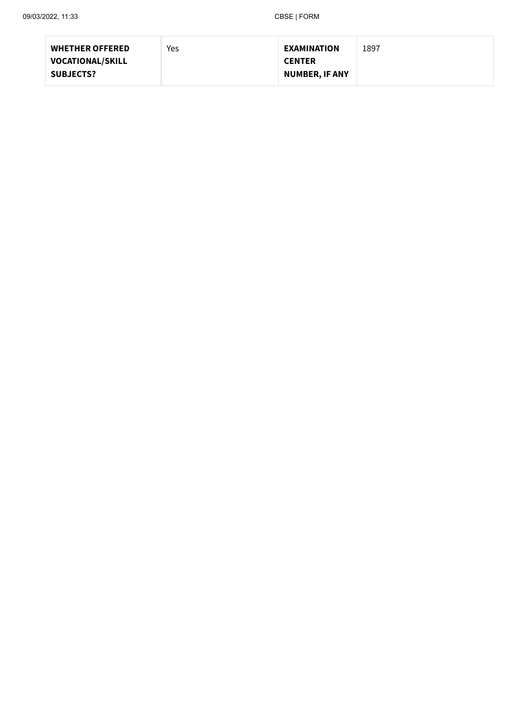| <b>WHETHER OFFERED</b>  | Yes | <b>EXAMINATION</b>    | 1897 |
|-------------------------|-----|-----------------------|------|
| <b>VOCATIONAL/SKILL</b> |     | <b>CENTER</b>         |      |
| <b>SUBJECTS?</b>        |     | <b>NUMBER, IF ANY</b> |      |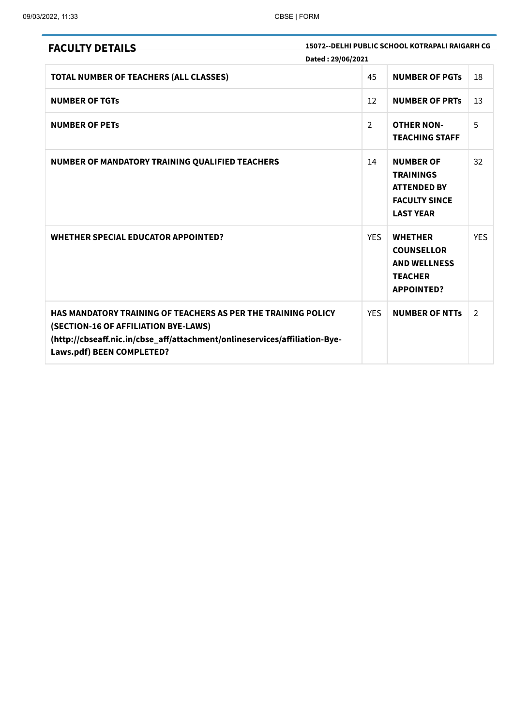| <b>FACULTY DETAILS</b>                                                                                                                                                                                                         | 15072--DELHI PUBLIC SCHOOL KOTRAPALI RAIGARH CG<br>Dated: 29/06/2021 |                                                                                                        |                |
|--------------------------------------------------------------------------------------------------------------------------------------------------------------------------------------------------------------------------------|----------------------------------------------------------------------|--------------------------------------------------------------------------------------------------------|----------------|
| <b>TOTAL NUMBER OF TEACHERS (ALL CLASSES)</b>                                                                                                                                                                                  | 45                                                                   | <b>NUMBER OF PGTS</b>                                                                                  | 18             |
| <b>NUMBER OF TGTS</b>                                                                                                                                                                                                          | 12                                                                   | <b>NUMBER OF PRTS</b>                                                                                  | 13             |
| <b>NUMBER OF PETS</b>                                                                                                                                                                                                          | $\overline{2}$                                                       | <b>OTHER NON-</b><br><b>TEACHING STAFF</b>                                                             | 5              |
| NUMBER OF MANDATORY TRAINING QUALIFIED TEACHERS                                                                                                                                                                                | 14                                                                   | <b>NUMBER OF</b><br><b>TRAININGS</b><br><b>ATTENDED BY</b><br><b>FACULTY SINCE</b><br><b>LAST YEAR</b> | 32             |
| <b>WHETHER SPECIAL EDUCATOR APPOINTED?</b>                                                                                                                                                                                     | <b>YES</b>                                                           | <b>WHETHER</b><br><b>COUNSELLOR</b><br><b>AND WELLNESS</b><br><b>TEACHER</b><br><b>APPOINTED?</b>      | <b>YES</b>     |
| <b>HAS MANDATORY TRAINING OF TEACHERS AS PER THE TRAINING POLICY</b><br>(SECTION-16 OF AFFILIATION BYE-LAWS)<br>(http://cbseaff.nic.in/cbse_aff/attachment/onlineservices/affiliation-Bye-<br><b>Laws.pdf) BEEN COMPLETED?</b> | <b>YFS</b>                                                           | <b>NUMBER OF NTTs</b>                                                                                  | $\overline{2}$ |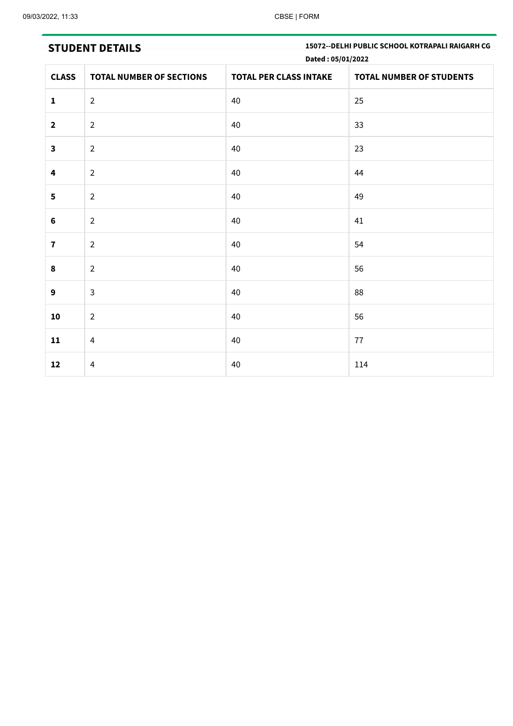**STUDENT DETAILS 15072--DELHI PUBLIC SCHOOL KOTRAPALI RAIGARH CG Dated : 05/01/2022**

| <b>CLASS</b>            | <b>TOTAL NUMBER OF SECTIONS</b> | $\sim$ $\sim$ $\sim$ $\sim$<br><b>TOTAL PER CLASS INTAKE</b> | TOTAL NUMBER OF STUDENTS |
|-------------------------|---------------------------------|--------------------------------------------------------------|--------------------------|
| $\mathbf{1}$            | $\overline{2}$                  | 40                                                           | 25                       |
| $\mathbf{2}$            | $\overline{2}$                  | 40                                                           | 33                       |
| $\overline{\mathbf{3}}$ | $\overline{2}$                  | 40                                                           | 23                       |
| 4                       | $\overline{2}$                  | 40                                                           | 44                       |
| 5                       | $\overline{2}$                  | 40                                                           | 49                       |
| $\bf 6$                 | $\overline{2}$                  | 40                                                           | 41                       |
| $\overline{\mathbf{7}}$ | $\overline{2}$                  | 40                                                           | 54                       |
| 8                       | $\overline{2}$                  | 40                                                           | 56                       |
| $\mathbf{9}$            | $\mathsf{3}$                    | 40                                                           | 88                       |
| ${\bf 10}$              | $\overline{2}$                  | $40\,$                                                       | 56                       |
| 11                      | $\overline{4}$                  | 40                                                           | 77                       |
| ${\bf 12}$              | $\overline{4}$                  | 40                                                           | 114                      |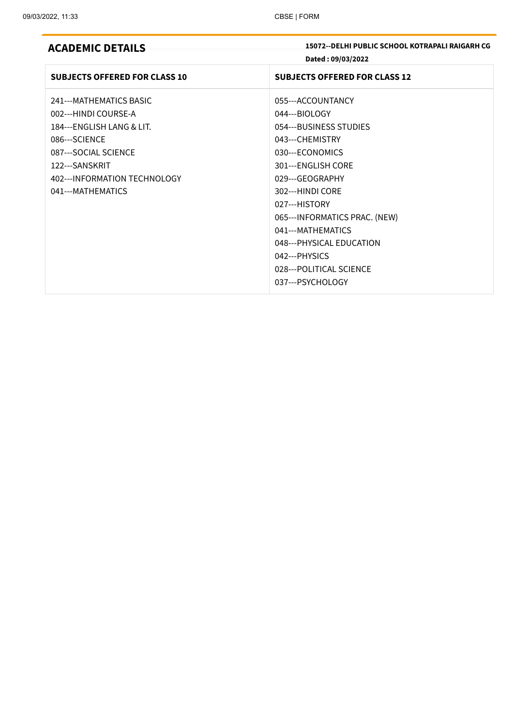| <b>ACADEMIC DETAILS</b> |  |  |  |  |  |  |  |
|-------------------------|--|--|--|--|--|--|--|
|-------------------------|--|--|--|--|--|--|--|

**ACADEMIC DETAILS 15072--DELHI PUBLIC SCHOOL KOTRAPALI RAIGARH CG Dated : 09/03/2022**

| <b>SUBJECTS OFFERED FOR CLASS 10</b> | <b>SUBJECTS OFFERED FOR CLASS 12</b> |
|--------------------------------------|--------------------------------------|
| 241---MATHEMATICS BASIC              | 055---ACCOUNTANCY                    |
| 002---HINDI COURSE-A                 | 044---BIOLOGY                        |
| 184---ENGLISH LANG & LIT.            | 054---BUSINESS STUDIES               |
| 086---SCIENCE                        | 043---CHEMISTRY                      |
| 087---SOCIAL SCIENCE                 | 030---ECONOMICS                      |
| 122---SANSKRIT                       | 301---ENGLISH CORE                   |
| 402--- INFORMATION TECHNOLOGY        | 029---GEOGRAPHY                      |
| 041---MATHEMATICS                    | 302---HINDI CORF                     |
|                                      | 027---HISTORY                        |
|                                      | 065---INFORMATICS PRAC. (NEW)        |
|                                      | 041---MATHEMATICS                    |
|                                      | 048---PHYSICAL EDUCATION             |
|                                      | 042---PHYSICS                        |
|                                      | 028---POLITICAL SCIENCE              |
|                                      | 037---PSYCHOLOGY                     |
|                                      |                                      |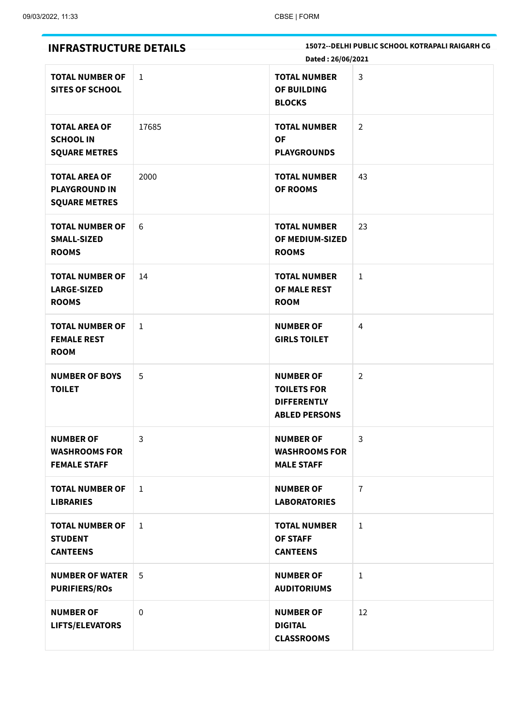| <b>INFRASTRUCTURE DETAILS</b>                                        |              | Dated: 26/06/2021                                                                    | 15072 -- DELHI PUBLIC SCHOOL KOTRAPALI RAIGARH CG |
|----------------------------------------------------------------------|--------------|--------------------------------------------------------------------------------------|---------------------------------------------------|
| <b>TOTAL NUMBER OF</b><br><b>SITES OF SCHOOL</b>                     | $\mathbf{1}$ | <b>TOTAL NUMBER</b><br>OF BUILDING<br><b>BLOCKS</b>                                  | $\mathsf{3}$                                      |
| <b>TOTAL AREA OF</b><br><b>SCHOOL IN</b><br><b>SQUARE METRES</b>     | 17685        | <b>TOTAL NUMBER</b><br><b>OF</b><br><b>PLAYGROUNDS</b>                               | $\overline{2}$                                    |
| <b>TOTAL AREA OF</b><br><b>PLAYGROUND IN</b><br><b>SQUARE METRES</b> | 2000         | <b>TOTAL NUMBER</b><br><b>OF ROOMS</b>                                               | 43                                                |
| <b>TOTAL NUMBER OF</b><br><b>SMALL-SIZED</b><br><b>ROOMS</b>         | 6            | <b>TOTAL NUMBER</b><br>OF MEDIUM-SIZED<br><b>ROOMS</b>                               | 23                                                |
| <b>TOTAL NUMBER OF</b><br><b>LARGE-SIZED</b><br><b>ROOMS</b>         | 14           | <b>TOTAL NUMBER</b><br>OF MALE REST<br><b>ROOM</b>                                   | $\mathbf{1}$                                      |
| <b>TOTAL NUMBER OF</b><br><b>FEMALE REST</b><br><b>ROOM</b>          | $\mathbf{1}$ | <b>NUMBER OF</b><br><b>GIRLS TOILET</b>                                              | $\overline{4}$                                    |
| <b>NUMBER OF BOYS</b><br><b>TOILET</b>                               | 5            | <b>NUMBER OF</b><br><b>TOILETS FOR</b><br><b>DIFFERENTLY</b><br><b>ABLED PERSONS</b> | $\overline{2}$                                    |
| <b>NUMBER OF</b><br><b>WASHROOMS FOR</b><br><b>FEMALE STAFF</b>      | 3            | <b>NUMBER OF</b><br><b>WASHROOMS FOR</b><br><b>MALE STAFF</b>                        | 3                                                 |
| <b>TOTAL NUMBER OF</b><br><b>LIBRARIES</b>                           | $\mathbf{1}$ | <b>NUMBER OF</b><br><b>LABORATORIES</b>                                              | $\overline{7}$                                    |
| <b>TOTAL NUMBER OF</b><br><b>STUDENT</b><br><b>CANTEENS</b>          | $\mathbf{1}$ | <b>TOTAL NUMBER</b><br><b>OF STAFF</b><br><b>CANTEENS</b>                            | $\mathbf{1}$                                      |
| <b>NUMBER OF WATER</b><br><b>PURIFIERS/ROS</b>                       | 5            | <b>NUMBER OF</b><br><b>AUDITORIUMS</b>                                               | $\mathbf{1}$                                      |
| <b>NUMBER OF</b><br>LIFTS/ELEVATORS                                  | $\mathbf 0$  | <b>NUMBER OF</b><br><b>DIGITAL</b><br><b>CLASSROOMS</b>                              | 12                                                |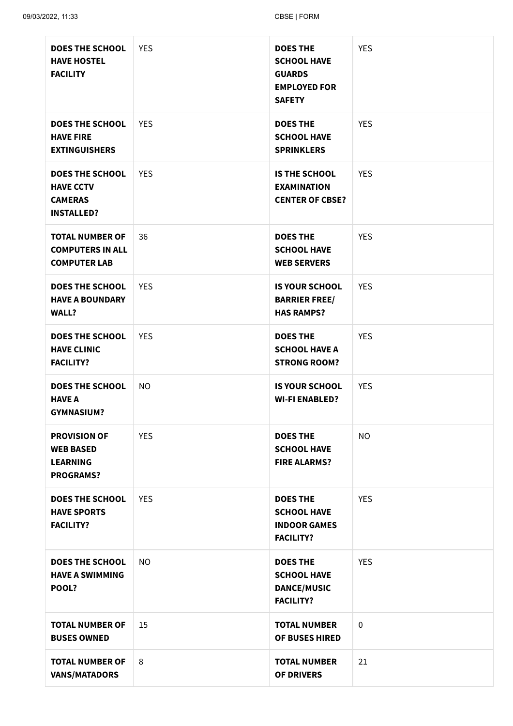| <b>DOES THE SCHOOL</b><br><b>HAVE HOSTEL</b><br><b>FACILITY</b>                   | <b>YES</b> | <b>DOES THE</b><br><b>SCHOOL HAVE</b><br><b>GUARDS</b><br><b>EMPLOYED FOR</b><br><b>SAFETY</b> | <b>YES</b>  |
|-----------------------------------------------------------------------------------|------------|------------------------------------------------------------------------------------------------|-------------|
| <b>DOES THE SCHOOL</b><br><b>HAVE FIRE</b><br><b>EXTINGUISHERS</b>                | <b>YES</b> | <b>DOES THE</b><br><b>SCHOOL HAVE</b><br><b>SPRINKLERS</b>                                     | <b>YES</b>  |
| <b>DOES THE SCHOOL</b><br><b>HAVE CCTV</b><br><b>CAMERAS</b><br><b>INSTALLED?</b> | <b>YES</b> | <b>IS THE SCHOOL</b><br><b>EXAMINATION</b><br><b>CENTER OF CBSE?</b>                           | <b>YES</b>  |
| <b>TOTAL NUMBER OF</b><br><b>COMPUTERS IN ALL</b><br><b>COMPUTER LAB</b>          | 36         | <b>DOES THE</b><br><b>SCHOOL HAVE</b><br><b>WEB SERVERS</b>                                    | <b>YES</b>  |
| <b>DOES THE SCHOOL</b><br><b>HAVE A BOUNDARY</b><br>WALL?                         | <b>YES</b> | <b>IS YOUR SCHOOL</b><br><b>BARRIER FREE/</b><br><b>HAS RAMPS?</b>                             | <b>YES</b>  |
| <b>DOES THE SCHOOL</b><br><b>HAVE CLINIC</b><br><b>FACILITY?</b>                  | <b>YES</b> | <b>DOES THE</b><br><b>SCHOOL HAVE A</b><br><b>STRONG ROOM?</b>                                 | <b>YES</b>  |
| <b>DOES THE SCHOOL</b><br><b>HAVE A</b><br><b>GYMNASIUM?</b>                      | <b>NO</b>  | <b>IS YOUR SCHOOL</b><br><b>WI-FI ENABLED?</b>                                                 | <b>YES</b>  |
| <b>PROVISION OF</b><br><b>WEB BASED</b><br><b>LEARNING</b><br><b>PROGRAMS?</b>    | <b>YES</b> | <b>DOES THE</b><br><b>SCHOOL HAVE</b><br><b>FIRE ALARMS?</b>                                   | <b>NO</b>   |
| <b>DOES THE SCHOOL</b><br><b>HAVE SPORTS</b><br><b>FACILITY?</b>                  | <b>YES</b> | <b>DOES THE</b><br><b>SCHOOL HAVE</b><br><b>INDOOR GAMES</b><br><b>FACILITY?</b>               | <b>YES</b>  |
| <b>DOES THE SCHOOL</b><br><b>HAVE A SWIMMING</b><br>POOL?                         | <b>NO</b>  | <b>DOES THE</b><br><b>SCHOOL HAVE</b><br><b>DANCE/MUSIC</b><br><b>FACILITY?</b>                | <b>YES</b>  |
| <b>TOTAL NUMBER OF</b><br><b>BUSES OWNED</b>                                      | 15         | <b>TOTAL NUMBER</b><br><b>OF BUSES HIRED</b>                                                   | $\mathbf 0$ |
| <b>TOTAL NUMBER OF</b><br><b>VANS/MATADORS</b>                                    | 8          | <b>TOTAL NUMBER</b><br><b>OF DRIVERS</b>                                                       | 21          |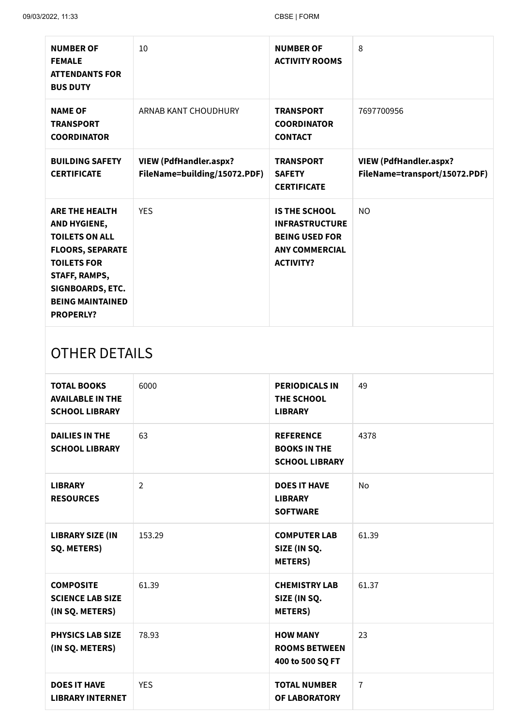| <b>NUMBER OF</b><br><b>FEMALE</b><br><b>ATTENDANTS FOR</b><br><b>BUS DUTY</b>                                                                                                                       | 10                                                            | <b>NUMBER OF</b><br><b>ACTIVITY ROOMS</b>                                                                           | 8                                                              |
|-----------------------------------------------------------------------------------------------------------------------------------------------------------------------------------------------------|---------------------------------------------------------------|---------------------------------------------------------------------------------------------------------------------|----------------------------------------------------------------|
| <b>NAME OF</b><br><b>TRANSPORT</b><br><b>COORDINATOR</b>                                                                                                                                            | ARNAB KANT CHOUDHURY                                          | <b>TRANSPORT</b><br><b>COORDINATOR</b><br><b>CONTACT</b>                                                            | 7697700956                                                     |
| <b>BUILDING SAFETY</b><br><b>CERTIFICATE</b>                                                                                                                                                        | <b>VIEW (PdfHandler.aspx?</b><br>FileName=building/15072.PDF) | <b>TRANSPORT</b><br><b>SAFETY</b><br><b>CERTIFICATE</b>                                                             | <b>VIEW (PdfHandler.aspx?</b><br>FileName=transport/15072.PDF) |
| <b>ARE THE HEALTH</b><br>AND HYGIENE,<br><b>TOILETS ON ALL</b><br><b>FLOORS, SEPARATE</b><br><b>TOILETS FOR</b><br>STAFF, RAMPS,<br>SIGNBOARDS, ETC.<br><b>BEING MAINTAINED</b><br><b>PROPERLY?</b> | <b>YES</b>                                                    | <b>IS THE SCHOOL</b><br><b>INFRASTRUCTURE</b><br><b>BEING USED FOR</b><br><b>ANY COMMERCIAL</b><br><b>ACTIVITY?</b> | N <sub>O</sub>                                                 |
| $\cap$ TIIFD DETAIL C                                                                                                                                                                               |                                                               |                                                                                                                     |                                                                |

# OTHER DETAILS

| <b>TOTAL BOOKS</b><br><b>AVAILABLE IN THE</b><br><b>SCHOOL LIBRARY</b> | 6000       | <b>PERIODICALS IN</b><br>THE SCHOOL<br><b>LIBRARY</b>            | 49             |
|------------------------------------------------------------------------|------------|------------------------------------------------------------------|----------------|
| <b>DAILIES IN THE</b><br><b>SCHOOL LIBRARY</b>                         | 63         | <b>REFERENCE</b><br><b>BOOKS IN THE</b><br><b>SCHOOL LIBRARY</b> | 4378           |
| <b>LIBRARY</b><br><b>RESOURCES</b>                                     | 2          | <b>DOES IT HAVE</b><br><b>LIBRARY</b><br><b>SOFTWARE</b>         | No             |
| <b>LIBRARY SIZE (IN</b><br>SQ. METERS)                                 | 153.29     | <b>COMPUTER LAB</b><br>SIZE (IN SQ.<br><b>METERS</b> )           | 61.39          |
| <b>COMPOSITE</b><br><b>SCIENCE LAB SIZE</b><br>(IN SQ. METERS)         | 61.39      | <b>CHEMISTRY LAB</b><br>SIZE (IN SQ.<br><b>METERS</b> )          | 61.37          |
| <b>PHYSICS LAB SIZE</b><br>(IN SQ. METERS)                             | 78.93      | <b>HOW MANY</b><br><b>ROOMS BETWEEN</b><br>400 to 500 SQ FT      | 23             |
| <b>DOES IT HAVE</b><br><b>LIBRARY INTERNET</b>                         | <b>YES</b> | <b>TOTAL NUMBER</b><br><b>OF LABORATORY</b>                      | $\overline{7}$ |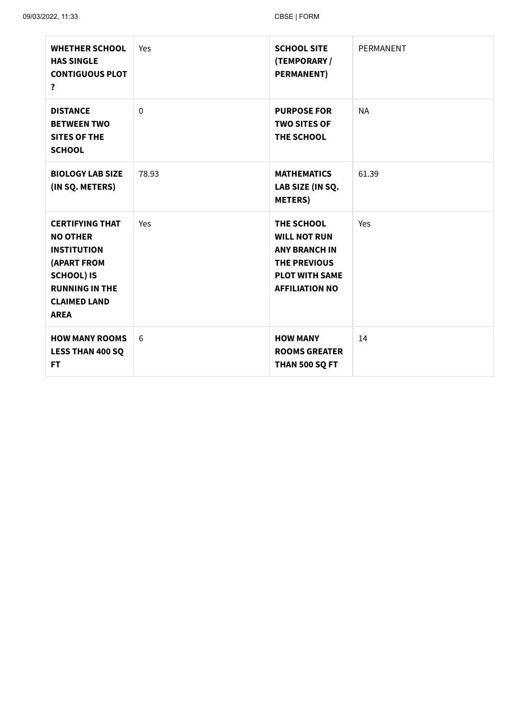| <b>WHETHER SCHOOL</b><br><b>HAS SINGLE</b><br><b>CONTIGUOUS PLOT</b><br>?                                                                                                 | Yes          | <b>SCHOOL SITE</b><br>(TEMPORARY /<br><b>PERMANENT)</b>                                                                            | PERMANENT |
|---------------------------------------------------------------------------------------------------------------------------------------------------------------------------|--------------|------------------------------------------------------------------------------------------------------------------------------------|-----------|
| <b>DISTANCE</b><br><b>BETWEEN TWO</b><br><b>SITES OF THE</b><br><b>SCHOOL</b>                                                                                             | $\mathbf{0}$ | <b>PURPOSE FOR</b><br><b>TWO SITES OF</b><br>THE SCHOOL                                                                            | <b>NA</b> |
| <b>BIOLOGY LAB SIZE</b><br>(IN SQ. METERS)                                                                                                                                | 78.93        | <b>MATHEMATICS</b><br>LAB SIZE (IN SQ.<br><b>METERS</b> )                                                                          | 61.39     |
| <b>CERTIFYING THAT</b><br><b>NO OTHER</b><br><b>INSTITUTION</b><br><b>(APART FROM</b><br><b>SCHOOL) IS</b><br><b>RUNNING IN THE</b><br><b>CLAIMED LAND</b><br><b>AREA</b> | Yes          | THE SCHOOL<br><b>WILL NOT RUN</b><br><b>ANY BRANCH IN</b><br><b>THE PREVIOUS</b><br><b>PLOT WITH SAME</b><br><b>AFFILIATION NO</b> | Yes       |
| <b>HOW MANY ROOMS</b><br><b>LESS THAN 400 SQ</b><br><b>FT</b>                                                                                                             | 6            | <b>HOW MANY</b><br><b>ROOMS GREATER</b><br><b>THAN 500 SQ FT</b>                                                                   | 14        |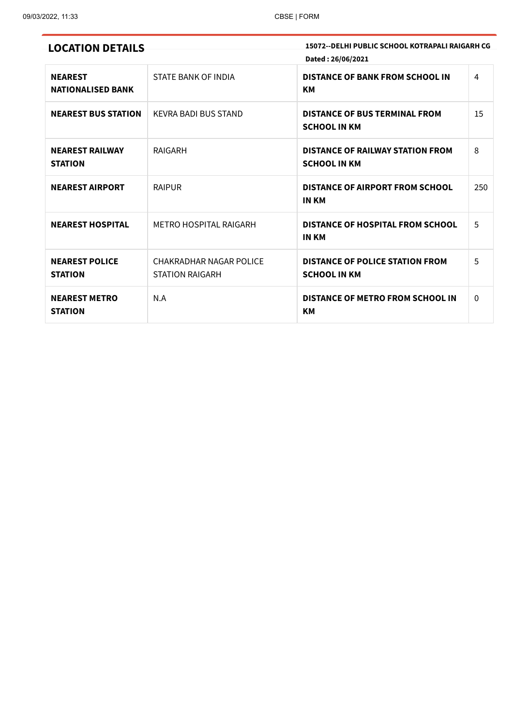| <b>LOCATION DETAILS</b>                    |                                                   | 15072--DELHI PUBLIC SCHOOL KOTRAPALI RAIGARH CG<br>Dated: 26/06/2021 |              |
|--------------------------------------------|---------------------------------------------------|----------------------------------------------------------------------|--------------|
| <b>NEAREST</b><br><b>NATIONALISED BANK</b> | STATE BANK OF INDIA                               | <b>DISTANCE OF BANK FROM SCHOOL IN</b><br><b>KM</b>                  | 4            |
| <b>NEAREST BUS STATION</b>                 | KEVRA BADI BUS STAND                              | <b>DISTANCE OF BUS TERMINAL FROM</b><br><b>SCHOOL IN KM</b>          | 15           |
| <b>NEAREST RAILWAY</b><br><b>STATION</b>   | RAIGARH                                           | <b>DISTANCE OF RAILWAY STATION FROM</b><br><b>SCHOOL IN KM</b>       | 8            |
| <b>NEAREST AIRPORT</b>                     | <b>RAIPUR</b>                                     | <b>DISTANCE OF AIRPORT FROM SCHOOL</b><br><b>IN KM</b>               | 250          |
| <b>NEAREST HOSPITAL</b>                    | <b>METRO HOSPITAL RAIGARH</b>                     | DISTANCE OF HOSPITAL FROM SCHOOL<br><b>IN KM</b>                     | 5            |
| <b>NEAREST POLICE</b><br><b>STATION</b>    | CHAKRADHAR NAGAR POLICE<br><b>STATION RAIGARH</b> | <b>DISTANCE OF POLICE STATION FROM</b><br><b>SCHOOL IN KM</b>        | 5            |
| <b>NEAREST METRO</b><br><b>STATION</b>     | N.A                                               | <b>DISTANCE OF METRO FROM SCHOOL IN</b><br><b>KM</b>                 | $\mathbf{0}$ |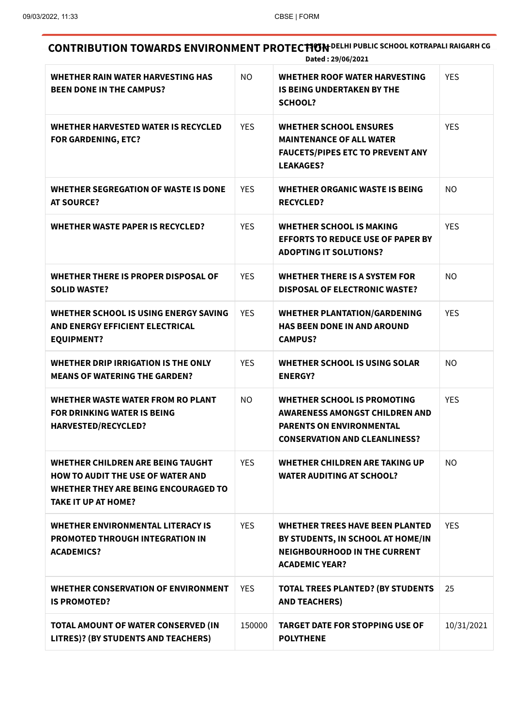**CONTRIBUTION TOWARDS ENVIRONMENT PROTECTION** DELHI PUBLIC SCHOOL KOTRAPALI RAIGARH CG **Dated : 29/06/2021**

| <b>WHETHER RAIN WATER HARVESTING HAS</b><br><b>BEEN DONE IN THE CAMPUS?</b>                                                                                | NO.        | WHETHER ROOF WATER HARVESTING<br><b>IS BEING UNDERTAKEN BY THE</b><br><b>SCHOOL?</b>                                                                   | <b>YES</b> |
|------------------------------------------------------------------------------------------------------------------------------------------------------------|------------|--------------------------------------------------------------------------------------------------------------------------------------------------------|------------|
| <b>WHETHER HARVESTED WATER IS RECYCLED</b><br><b>FOR GARDENING, ETC?</b>                                                                                   | <b>YES</b> | <b>WHETHER SCHOOL ENSURES</b><br><b>MAINTENANCE OF ALL WATER</b><br><b>FAUCETS/PIPES ETC TO PREVENT ANY</b><br><b>LEAKAGES?</b>                        | <b>YES</b> |
| WHETHER SEGREGATION OF WASTE IS DONE<br><b>AT SOURCE?</b>                                                                                                  | <b>YES</b> | <b>WHETHER ORGANIC WASTE IS BEING</b><br><b>RECYCLED?</b>                                                                                              | NO.        |
| <b>WHETHER WASTE PAPER IS RECYCLED?</b>                                                                                                                    | <b>YES</b> | <b>WHETHER SCHOOL IS MAKING</b><br><b>EFFORTS TO REDUCE USE OF PAPER BY</b><br><b>ADOPTING IT SOLUTIONS?</b>                                           | <b>YES</b> |
| <b>WHETHER THERE IS PROPER DISPOSAL OF</b><br><b>SOLID WASTE?</b>                                                                                          | <b>YES</b> | <b>WHETHER THERE IS A SYSTEM FOR</b><br><b>DISPOSAL OF ELECTRONIC WASTE?</b>                                                                           | NO.        |
| WHETHER SCHOOL IS USING ENERGY SAVING<br>AND ENERGY EFFICIENT ELECTRICAL<br><b>EQUIPMENT?</b>                                                              | <b>YES</b> | <b>WHETHER PLANTATION/GARDENING</b><br><b>HAS BEEN DONE IN AND AROUND</b><br><b>CAMPUS?</b>                                                            | <b>YES</b> |
| WHETHER DRIP IRRIGATION IS THE ONLY<br><b>MEANS OF WATERING THE GARDEN?</b>                                                                                | <b>YES</b> | <b>WHETHER SCHOOL IS USING SOLAR</b><br><b>ENERGY?</b>                                                                                                 | NO.        |
| WHETHER WASTE WATER FROM RO PLANT<br><b>FOR DRINKING WATER IS BEING</b><br><b>HARVESTED/RECYCLED?</b>                                                      | <b>NO</b>  | <b>WHETHER SCHOOL IS PROMOTING</b><br><b>AWARENESS AMONGST CHILDREN AND</b><br><b>PARENTS ON ENVIRONMENTAL</b><br><b>CONSERVATION AND CLEANLINESS?</b> | <b>YES</b> |
| <b>WHETHER CHILDREN ARE BEING TAUGHT</b><br><b>HOW TO AUDIT THE USE OF WATER AND</b><br>WHETHER THEY ARE BEING ENCOURAGED TO<br><b>TAKE IT UP AT HOME?</b> | <b>YES</b> | <b>WHETHER CHILDREN ARE TAKING UP</b><br><b>WATER AUDITING AT SCHOOL?</b>                                                                              | NO.        |
| <b>WHETHER ENVIRONMENTAL LITERACY IS</b><br><b>PROMOTED THROUGH INTEGRATION IN</b><br><b>ACADEMICS?</b>                                                    | <b>YES</b> | <b>WHETHER TREES HAVE BEEN PLANTED</b><br>BY STUDENTS, IN SCHOOL AT HOME/IN<br><b>NEIGHBOURHOOD IN THE CURRENT</b><br><b>ACADEMIC YEAR?</b>            | <b>YES</b> |
| <b>WHETHER CONSERVATION OF ENVIRONMENT</b><br><b>IS PROMOTED?</b>                                                                                          | <b>YES</b> | <b>TOTAL TREES PLANTED? (BY STUDENTS</b><br><b>AND TEACHERS)</b>                                                                                       | 25         |
| TOTAL AMOUNT OF WATER CONSERVED (IN<br>LITRES)? (BY STUDENTS AND TEACHERS)                                                                                 | 150000     | <b>TARGET DATE FOR STOPPING USE OF</b><br><b>POLYTHENE</b>                                                                                             | 10/31/2021 |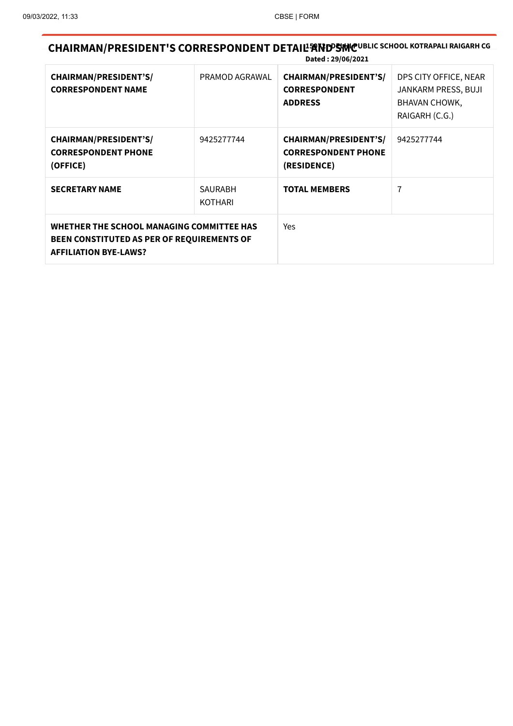**CHAIRMAN/PRESIDENT'S CORRESPONDENT DETAIL<sup>I</sup>NND SIMCUBLIC SCHOOL KOTRAPALI RAIGARH CG Dated : 29/06/2021**

|                                                                                                                         |                                  | PULLU , 49, 00, 4044                                                      |                                                                                 |
|-------------------------------------------------------------------------------------------------------------------------|----------------------------------|---------------------------------------------------------------------------|---------------------------------------------------------------------------------|
| <b>CHAIRMAN/PRESIDENT'S/</b><br><b>CORRESPONDENT NAME</b>                                                               | PRAMOD AGRAWAL                   | <b>CHAIRMAN/PRESIDENT'S/</b><br><b>CORRESPONDENT</b><br><b>ADDRESS</b>    | DPS CITY OFFICE, NEAR<br>JANKARM PRESS, BUJI<br>BHAVAN CHOWK,<br>RAIGARH (C.G.) |
| <b>CHAIRMAN/PRESIDENT'S/</b><br><b>CORRESPONDENT PHONE</b><br>(OFFICE)                                                  | 9425277744                       | <b>CHAIRMAN/PRESIDENT'S/</b><br><b>CORRESPONDENT PHONE</b><br>(RESIDENCE) | 9425277744                                                                      |
| <b>SECRETARY NAME</b>                                                                                                   | <b>SAURABH</b><br><b>KOTHARI</b> | <b>TOTAL MEMBERS</b>                                                      | 7                                                                               |
| WHETHER THE SCHOOL MANAGING COMMITTEE HAS<br>BEEN CONSTITUTED AS PER OF REQUIREMENTS OF<br><b>AFFILIATION BYE-LAWS?</b> |                                  | <b>Yes</b>                                                                |                                                                                 |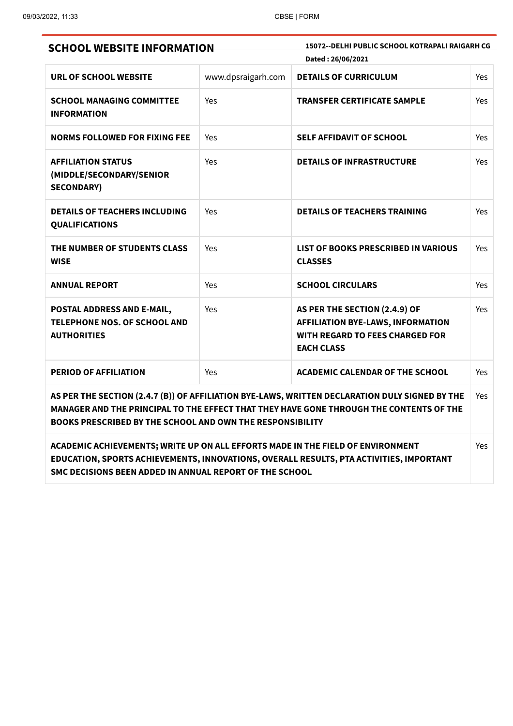| <b>SCHOOL WEBSITE INFORMATION</b>                                                                                                                                                                                                                      | 15072--DELHI PUBLIC SCHOOL KOTRAPALI RAIGARH CG<br>Dated: 26/06/2021 |                                                                                                                                          |            |  |
|--------------------------------------------------------------------------------------------------------------------------------------------------------------------------------------------------------------------------------------------------------|----------------------------------------------------------------------|------------------------------------------------------------------------------------------------------------------------------------------|------------|--|
| URL OF SCHOOL WEBSITE                                                                                                                                                                                                                                  | www.dpsraigarh.com                                                   | <b>DETAILS OF CURRICULUM</b>                                                                                                             | Yes        |  |
| <b>SCHOOL MANAGING COMMITTEE</b><br><b>INFORMATION</b>                                                                                                                                                                                                 | Yes                                                                  | <b>TRANSFER CERTIFICATE SAMPLE</b>                                                                                                       | Yes        |  |
| <b>NORMS FOLLOWED FOR FIXING FEE</b>                                                                                                                                                                                                                   | Yes                                                                  | <b>SELF AFFIDAVIT OF SCHOOL</b>                                                                                                          | <b>Yes</b> |  |
| <b>AFFILIATION STATUS</b><br>(MIDDLE/SECONDARY/SENIOR<br><b>SECONDARY)</b>                                                                                                                                                                             | Yes                                                                  | <b>DETAILS OF INFRASTRUCTURE</b>                                                                                                         | Yes        |  |
| <b>DETAILS OF TEACHERS INCLUDING</b><br><b>QUALIFICATIONS</b>                                                                                                                                                                                          | Yes                                                                  | <b>DETAILS OF TEACHERS TRAINING</b>                                                                                                      | Yes        |  |
| THE NUMBER OF STUDENTS CLASS<br><b>WISE</b>                                                                                                                                                                                                            | Yes                                                                  | LIST OF BOOKS PRESCRIBED IN VARIOUS<br><b>CLASSES</b>                                                                                    | Yes        |  |
| <b>ANNUAL REPORT</b>                                                                                                                                                                                                                                   | Yes                                                                  | <b>SCHOOL CIRCULARS</b>                                                                                                                  | <b>Yes</b> |  |
| POSTAL ADDRESS AND E-MAIL,<br><b>TELEPHONE NOS. OF SCHOOL AND</b><br><b>AUTHORITIES</b>                                                                                                                                                                | Yes                                                                  | AS PER THE SECTION (2.4.9) OF<br><b>AFFILIATION BYE-LAWS, INFORMATION</b><br><b>WITH REGARD TO FEES CHARGED FOR</b><br><b>EACH CLASS</b> | Yes        |  |
| <b>PERIOD OF AFFILIATION</b>                                                                                                                                                                                                                           | Yes                                                                  | <b>ACADEMIC CALENDAR OF THE SCHOOL</b>                                                                                                   | Yes        |  |
| AS PER THE SECTION (2.4.7 (B)) OF AFFILIATION BYE-LAWS, WRITTEN DECLARATION DULY SIGNED BY THE<br>MANAGER AND THE PRINCIPAL TO THE EFFECT THAT THEY HAVE GONE THROUGH THE CONTENTS OF THE<br>BOOKS PRESCRIBED BY THE SCHOOL AND OWN THE RESPONSIBILITY |                                                                      |                                                                                                                                          |            |  |
| ACADEMIC ACHIEVEMENTS; WRITE UP ON ALL EFFORTS MADE IN THE FIELD OF ENVIRONMENT<br>EDUCATION, SPORTS ACHIEVEMENTS, INNOVATIONS, OVERALL RESULTS, PTA ACTIVITIES, IMPORTANT<br>SMC DECISIONS BEEN ADDED IN ANNUAL REPORT OF THE SCHOOL                  |                                                                      |                                                                                                                                          |            |  |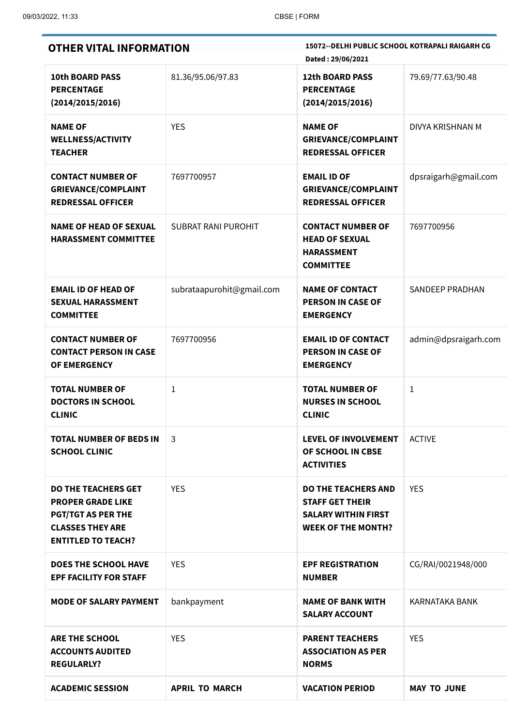×

| <b>OTHER VITAL INFORMATION</b>                                                                                                              |                            | 15072 -- DELHI PUBLIC SCHOOL KOTRAPALI RAIGARH CG<br>Dated: 29/06/2021                                          |                      |  |
|---------------------------------------------------------------------------------------------------------------------------------------------|----------------------------|-----------------------------------------------------------------------------------------------------------------|----------------------|--|
| <b>10th BOARD PASS</b><br><b>PERCENTAGE</b><br>(2014/2015/2016)                                                                             | 81.36/95.06/97.83          | <b>12th BOARD PASS</b><br><b>PERCENTAGE</b><br>(2014/2015/2016)                                                 | 79.69/77.63/90.48    |  |
| <b>NAME OF</b><br><b>WELLNESS/ACTIVITY</b><br><b>TEACHER</b>                                                                                | <b>YES</b>                 | <b>NAME OF</b><br><b>GRIEVANCE/COMPLAINT</b><br><b>REDRESSAL OFFICER</b>                                        | DIVYA KRISHNAN M     |  |
| <b>CONTACT NUMBER OF</b><br><b>GRIEVANCE/COMPLAINT</b><br><b>REDRESSAL OFFICER</b>                                                          | 7697700957                 | <b>EMAIL ID OF</b><br><b>GRIEVANCE/COMPLAINT</b><br><b>REDRESSAL OFFICER</b>                                    | dpsraigarh@gmail.com |  |
| <b>NAME OF HEAD OF SEXUAL</b><br><b>HARASSMENT COMMITTEE</b>                                                                                | <b>SUBRAT RANI PUROHIT</b> | <b>CONTACT NUMBER OF</b><br><b>HEAD OF SEXUAL</b><br><b>HARASSMENT</b><br><b>COMMITTEE</b>                      | 7697700956           |  |
| <b>EMAIL ID OF HEAD OF</b><br><b>SEXUAL HARASSMENT</b><br><b>COMMITTEE</b>                                                                  | subrataapurohit@gmail.com  | <b>NAME OF CONTACT</b><br><b>PERSON IN CASE OF</b><br><b>EMERGENCY</b>                                          | SANDEEP PRADHAN      |  |
| <b>CONTACT NUMBER OF</b><br><b>CONTACT PERSON IN CASE</b><br>OF EMERGENCY                                                                   | 7697700956                 | <b>EMAIL ID OF CONTACT</b><br><b>PERSON IN CASE OF</b><br><b>EMERGENCY</b>                                      | admin@dpsraigarh.com |  |
| <b>TOTAL NUMBER OF</b><br><b>DOCTORS IN SCHOOL</b><br><b>CLINIC</b>                                                                         | 1                          | <b>TOTAL NUMBER OF</b><br><b>NURSES IN SCHOOL</b><br><b>CLINIC</b>                                              | 1                    |  |
| <b>TOTAL NUMBER OF BEDS IN</b><br><b>SCHOOL CLINIC</b>                                                                                      | 3                          | <b>LEVEL OF INVOLVEMENT</b><br>OF SCHOOL IN CBSE<br><b>ACTIVITIES</b>                                           | <b>ACTIVE</b>        |  |
| <b>DO THE TEACHERS GET</b><br><b>PROPER GRADE LIKE</b><br><b>PGT/TGT AS PER THE</b><br><b>CLASSES THEY ARE</b><br><b>ENTITLED TO TEACH?</b> | <b>YES</b>                 | <b>DO THE TEACHERS AND</b><br><b>STAFF GET THEIR</b><br><b>SALARY WITHIN FIRST</b><br><b>WEEK OF THE MONTH?</b> | <b>YES</b>           |  |
| <b>DOES THE SCHOOL HAVE</b><br><b>EPF FACILITY FOR STAFF</b>                                                                                | <b>YES</b>                 | <b>EPF REGISTRATION</b><br><b>NUMBER</b>                                                                        | CG/RAI/0021948/000   |  |
| <b>MODE OF SALARY PAYMENT</b>                                                                                                               | bankpayment                | <b>NAME OF BANK WITH</b><br><b>SALARY ACCOUNT</b>                                                               | KARNATAKA BANK       |  |
| <b>ARE THE SCHOOL</b><br><b>ACCOUNTS AUDITED</b><br><b>REGULARLY?</b>                                                                       | <b>YES</b>                 | <b>PARENT TEACHERS</b><br><b>ASSOCIATION AS PER</b><br><b>NORMS</b>                                             | <b>YES</b>           |  |
| <b>ACADEMIC SESSION</b>                                                                                                                     | <b>APRIL TO MARCH</b>      | <b>VACATION PERIOD</b>                                                                                          | <b>MAY TO JUNE</b>   |  |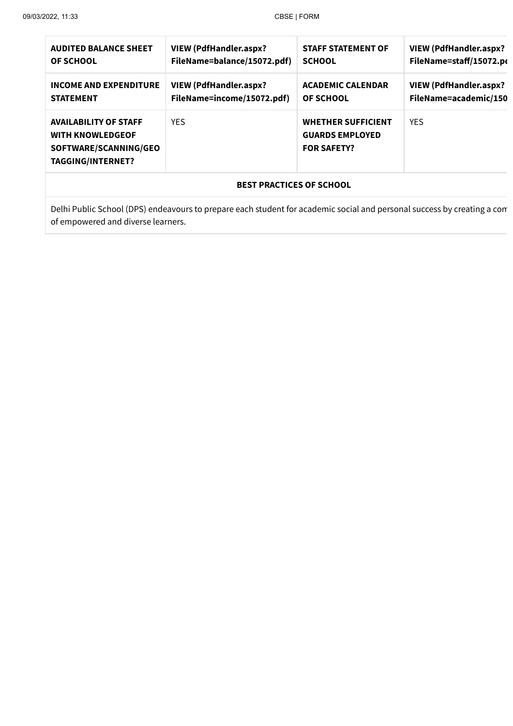| <b>AUDITED BALANCE SHEET</b>                                                                                 | <b>VIEW (PdfHandler.aspx?</b> | <b>STAFF STATEMENT OF</b>                                                 | <b>VIEW (PdfHandler.aspx?</b> |  |
|--------------------------------------------------------------------------------------------------------------|-------------------------------|---------------------------------------------------------------------------|-------------------------------|--|
| <b>OF SCHOOL</b>                                                                                             | FileName=balance/15072.pdf)   | <b>SCHOOL</b>                                                             | FileName=staff/15072.po       |  |
| <b>INCOME AND EXPENDITURE</b>                                                                                | <b>VIEW (PdfHandler.aspx?</b> | <b>ACADEMIC CALENDAR</b>                                                  | <b>VIEW (PdfHandler.aspx?</b> |  |
| <b>STATEMENT</b>                                                                                             | FileName=income/15072.pdf)    | <b>OF SCHOOL</b>                                                          | FileName=academic/150         |  |
| <b>AVAILABILITY OF STAFF</b><br><b>WITH KNOWLEDGEOF</b><br>SOFTWARE/SCANNING/GEO<br><b>TAGGING/INTERNET?</b> | <b>YES</b>                    | <b>WHETHER SUFFICIENT</b><br><b>GUARDS EMPLOYED</b><br><b>FOR SAFETY?</b> | <b>YES</b>                    |  |
| <b>BEST PRACTICES OF SCHOOL</b>                                                                              |                               |                                                                           |                               |  |

Delhi Public School (DPS) endeavours to prepare each student for academic social and personal success by creating a com of empowered and diverse learners.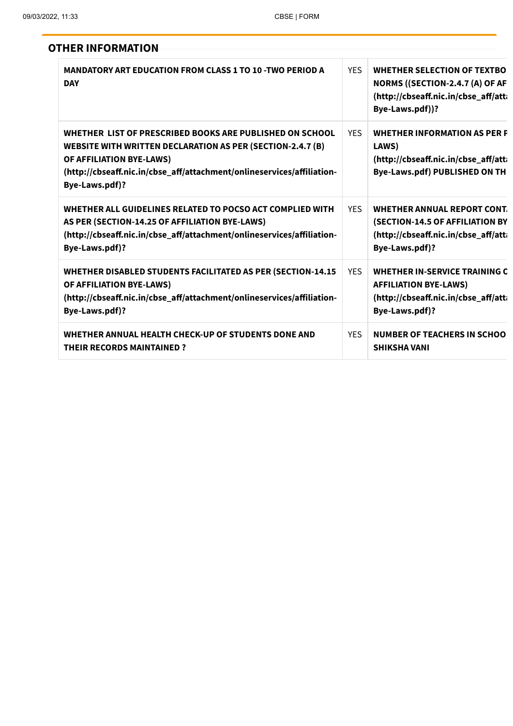| <b>OTHER INFORMATION</b>                                                                                                                                                                                                                              |            |                                                                                                                                  |
|-------------------------------------------------------------------------------------------------------------------------------------------------------------------------------------------------------------------------------------------------------|------------|----------------------------------------------------------------------------------------------------------------------------------|
| <b>MANDATORY ART EDUCATION FROM CLASS 1 TO 10 -TWO PERIOD A</b><br><b>DAY</b>                                                                                                                                                                         | <b>YES</b> | <b>WHETHER SELECTION OF TEXTBO</b><br>NORMS ((SECTION-2.4.7 (A) OF AF<br>(http://cbseaff.nic.in/cbse_aff/atti<br>Bye-Laws.pdf))? |
| WHETHER LIST OF PRESCRIBED BOOKS ARE PUBLISHED ON SCHOOL<br><b>WEBSITE WITH WRITTEN DECLARATION AS PER (SECTION-2.4.7 (B)</b><br>OF AFFILIATION BYE-LAWS)<br>(http://cbseaff.nic.in/cbse_aff/attachment/onlineservices/affiliation-<br>Bye-Laws.pdf)? | <b>YFS</b> | <b>WHETHER INFORMATION AS PER F</b><br>LAWS)<br>(http://cbseaff.nic.in/cbse_aff/atti<br>Bye-Laws.pdf) PUBLISHED ON TH            |
| WHETHER ALL GUIDELINES RELATED TO POCSO ACT COMPLIED WITH<br>AS PER (SECTION-14.25 OF AFFILIATION BYE-LAWS)<br>(http://cbseaff.nic.in/cbse_aff/attachment/onlineservices/affiliation-<br>Bye-Laws.pdf)?                                               | <b>YFS</b> | WHETHER ANNUAL REPORT CONT.<br>(SECTION-14.5 OF AFFILIATION BY<br>(http://cbseaff.nic.in/cbse_aff/atti<br>Bye-Laws.pdf)?         |
| WHETHER DISABLED STUDENTS FACILITATED AS PER (SECTION-14.15<br>OF AFFILIATION BYE-LAWS)<br>(http://cbseaff.nic.in/cbse_aff/attachment/onlineservices/affiliation-<br>Bye-Laws.pdf)?                                                                   | <b>YES</b> | <b>WHETHER IN-SERVICE TRAINING C</b><br><b>AFFILIATION BYE-LAWS)</b><br>(http://cbseaff.nic.in/cbse_aff/att<br>Bye-Laws.pdf)?    |
| WHETHER ANNUAL HEALTH CHECK-UP OF STUDENTS DONE AND<br><b>THEIR RECORDS MAINTAINED?</b>                                                                                                                                                               | <b>YES</b> | <b>NUMBER OF TEACHERS IN SCHOO</b><br><b>SHIKSHA VANI</b>                                                                        |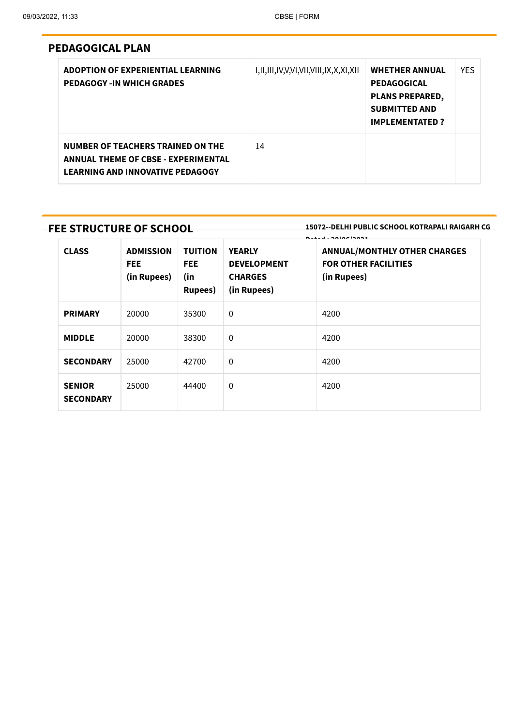### **PEDAGOGICAL PLAN**

| ADOPTION OF EXPERIENTIAL LEARNING<br><b>PEDAGOGY -IN WHICH GRADES</b>                                                      | I,II,III,IV,V,VI,VII,VIII,IX,X,XI,XII | <b>WHETHER ANNUAL</b><br><b>PEDAGOGICAL</b><br><b>PLANS PREPARED,</b><br><b>SUBMITTED AND</b><br><b>IMPLEMENTATED?</b> | <b>YES</b> |
|----------------------------------------------------------------------------------------------------------------------------|---------------------------------------|------------------------------------------------------------------------------------------------------------------------|------------|
| NUMBER OF TEACHERS TRAINED ON THE<br><b>ANNUAL THEME OF CBSE - EXPERIMENTAL</b><br><b>LEARNING AND INNOVATIVE PEDAGOGY</b> | 14                                    |                                                                                                                        |            |

### **FEE STRUCTURE OF SCHOOL**

**15072--DELHI PUBLIC SCHOOL KOTRAPALI RAIGARH CG**

| <b>CLASS</b>                      | <b>ADMISSION</b><br><b>FEE</b><br>(in Rupees) | <b>TUITION</b><br><b>FEE</b><br>(in<br><b>Rupees</b> ) | <b>YEARLY</b><br><b>DEVELOPMENT</b><br><b>CHARGES</b><br>(in Rupees) | <b>B.I. L. AAIAAIAAA4</b><br><b>ANNUAL/MONTHLY OTHER CHARGES</b><br><b>FOR OTHER FACILITIES</b><br>(in Rupees) |
|-----------------------------------|-----------------------------------------------|--------------------------------------------------------|----------------------------------------------------------------------|----------------------------------------------------------------------------------------------------------------|
| <b>PRIMARY</b>                    | 20000                                         | 35300                                                  | $\mathbf 0$                                                          | 4200                                                                                                           |
| <b>MIDDLE</b>                     | 20000                                         | 38300                                                  | $\mathbf 0$                                                          | 4200                                                                                                           |
| <b>SECONDARY</b>                  | 25000                                         | 42700                                                  | $\mathbf 0$                                                          | 4200                                                                                                           |
| <b>SENIOR</b><br><b>SECONDARY</b> | 25000                                         | 44400                                                  | 0                                                                    | 4200                                                                                                           |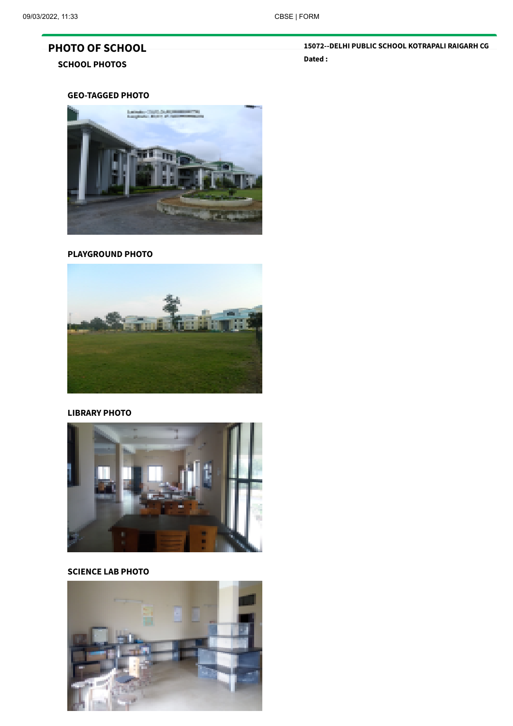## **PHOTO OF SCHOOL**

#### **SCHOOL PHOTOS**

**15072--DELHI PUBLIC SCHOOL KOTRAPALI RAIGARH CG Dated :**

#### **GEO-TAGGED PHOTO**



#### **PLAYGROUND PHOTO**



#### **LIBRARY PHOTO**



#### **SCIENCE LAB PHOTO**

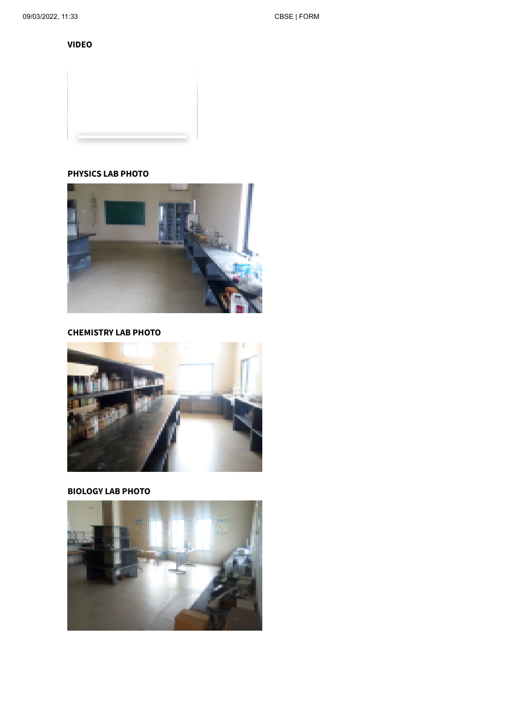**VIDEO**

#### **PHYSICS LAB PHOTO**



#### **CHEMISTRY LAB PHOTO**



#### **BIOLOGY LAB PHOTO**

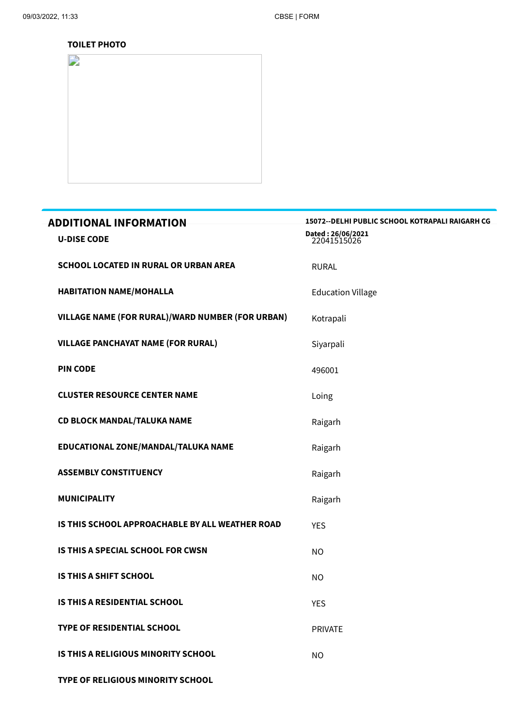#### **TOILET PHOTO**



| <b>ADDITIONAL INFORMATION</b>                    | 15072 -- DELHI PUBLIC SCHOOL KOTRAPALI RAIGARH CG |
|--------------------------------------------------|---------------------------------------------------|
| <b>U-DISE CODE</b>                               | Dated: 26/06/2021<br>22041515026                  |
| <b>SCHOOL LOCATED IN RURAL OR URBAN AREA</b>     | <b>RURAL</b>                                      |
| <b>HABITATION NAME/MOHALLA</b>                   | <b>Education Village</b>                          |
| VILLAGE NAME (FOR RURAL)/WARD NUMBER (FOR URBAN) | Kotrapali                                         |
| <b>VILLAGE PANCHAYAT NAME (FOR RURAL)</b>        | Siyarpali                                         |
| <b>PIN CODE</b>                                  | 496001                                            |
| <b>CLUSTER RESOURCE CENTER NAME</b>              | Loing                                             |
| <b>CD BLOCK MANDAL/TALUKA NAME</b>               | Raigarh                                           |
| EDUCATIONAL ZONE/MANDAL/TALUKA NAME              | Raigarh                                           |
| <b>ASSEMBLY CONSTITUENCY</b>                     | Raigarh                                           |
| <b>MUNICIPALITY</b>                              | Raigarh                                           |
| IS THIS SCHOOL APPROACHABLE BY ALL WEATHER ROAD  | <b>YES</b>                                        |
| <b>IS THIS A SPECIAL SCHOOL FOR CWSN</b>         | <b>NO</b>                                         |
| <b>IS THIS A SHIFT SCHOOL</b>                    | <b>NO</b>                                         |
| IS THIS A RESIDENTIAL SCHOOL                     | <b>YES</b>                                        |
| <b>TYPE OF RESIDENTIAL SCHOOL</b>                | <b>PRIVATE</b>                                    |
| IS THIS A RELIGIOUS MINORITY SCHOOL              | <b>NO</b>                                         |
|                                                  |                                                   |

**TYPE OF RELIGIOUS MINORITY SCHOOL**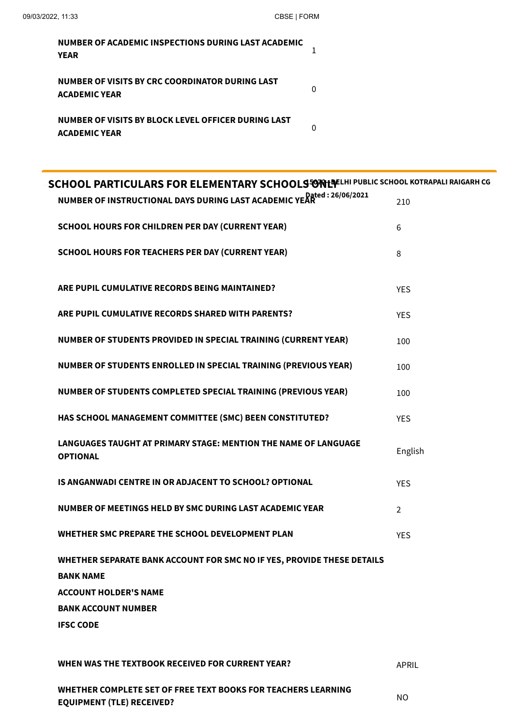| NUMBER OF ACADEMIC INSPECTIONS DURING LAST ACADEMIC<br><b>YEAR</b>          |  |
|-----------------------------------------------------------------------------|--|
| NUMBER OF VISITS BY CRC COORDINATOR DURING LAST<br><b>ACADEMIC YEAR</b>     |  |
| NUMBER OF VISITS BY BLOCK LEVEL OFFICER DURING LAST<br><b>ACADEMIC YEAR</b> |  |

| SCHOOL PARTICULARS FOR ELEMENTARY SCHOOLS ON LOTELLIN PUBLIC SCHOOL KOTRAPALI RAIGARH CG   |                |  |
|--------------------------------------------------------------------------------------------|----------------|--|
| NUMBER OF INSTRUCTIONAL DAYS DURING LAST ACADEMIC YEAR 126/06/2021                         | 210            |  |
| <b>SCHOOL HOURS FOR CHILDREN PER DAY (CURRENT YEAR)</b>                                    | 6              |  |
| <b>SCHOOL HOURS FOR TEACHERS PER DAY (CURRENT YEAR)</b>                                    | 8              |  |
| ARE PUPIL CUMULATIVE RECORDS BEING MAINTAINED?                                             | <b>YES</b>     |  |
| ARE PUPIL CUMULATIVE RECORDS SHARED WITH PARENTS?                                          | <b>YES</b>     |  |
| NUMBER OF STUDENTS PROVIDED IN SPECIAL TRAINING (CURRENT YEAR)                             | 100            |  |
| NUMBER OF STUDENTS ENROLLED IN SPECIAL TRAINING (PREVIOUS YEAR)                            | 100            |  |
| NUMBER OF STUDENTS COMPLETED SPECIAL TRAINING (PREVIOUS YEAR)                              | 100            |  |
| HAS SCHOOL MANAGEMENT COMMITTEE (SMC) BEEN CONSTITUTED?                                    | <b>YES</b>     |  |
| LANGUAGES TAUGHT AT PRIMARY STAGE: MENTION THE NAME OF LANGUAGE<br><b>OPTIONAL</b>         | English        |  |
| IS ANGANWADI CENTRE IN OR ADJACENT TO SCHOOL? OPTIONAL                                     | <b>YES</b>     |  |
| NUMBER OF MEETINGS HELD BY SMC DURING LAST ACADEMIC YEAR                                   | $\overline{2}$ |  |
| WHETHER SMC PREPARE THE SCHOOL DEVELOPMENT PLAN                                            | <b>YES</b>     |  |
| WHETHER SEPARATE BANK ACCOUNT FOR SMC NO IF YES, PROVIDE THESE DETAILS<br><b>BANK NAME</b> |                |  |
| <b>ACCOUNT HOLDER'S NAME</b>                                                               |                |  |
| <b>BANK ACCOUNT NUMBER</b>                                                                 |                |  |
| <b>IFSC CODE</b>                                                                           |                |  |
| WHEN WAS THE TEXTBOOK RECEIVED FOR CURRENT YEAR?                                           | <b>APRIL</b>   |  |

NO

**WHETHER COMPLETE SET OF FREE TEXT BOOKS FOR TEACHERS LEARNING EQUIPMENT (TLE) RECEIVED?**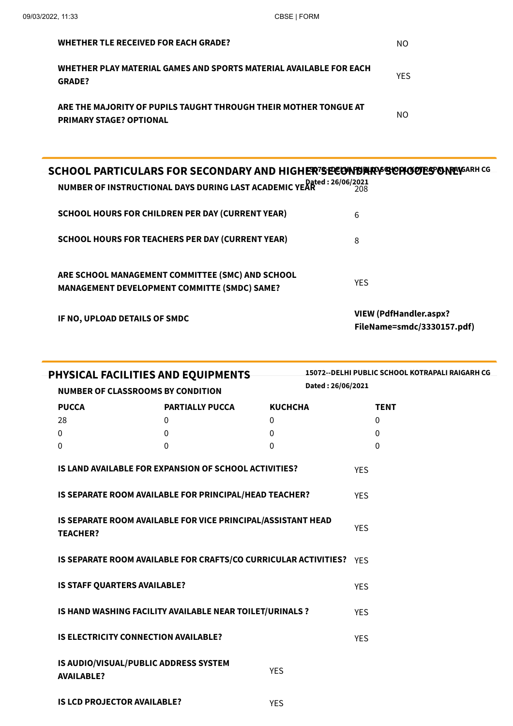| <b>WHETHER TLE RECEIVED FOR EACH GRADE?</b>                                                                                                    | NO.        |
|------------------------------------------------------------------------------------------------------------------------------------------------|------------|
| WHETHER PLAY MATERIAL GAMES AND SPORTS MATERIAL AVAILABLE FOR EACH<br><b>GRADE?</b>                                                            | <b>YES</b> |
| ARE THE MAJORITY OF PUPILS TAUGHT THROUGH THEIR MOTHER TONGUE AT<br><b>PRIMARY STAGE? OPTIONAL</b>                                             | NO.        |
|                                                                                                                                                |            |
| SCHOOL PARTICULARS FOR SECONDARY AND HIGHER7SECONDARY SOPHOOL PARTICULARS<br>NUMBER OF INSTRUCTIONAL DAYS DURING LAST ACADEMIC YEAR 26/06/2021 |            |
| <b>SCHOOL HOURS FOR CHILDREN PER DAY (CURRENT YEAR)</b>                                                                                        | 6          |
| <b>SCHOOL HOURS FOR TEACHERS PER DAY (CURRENT YEAR)</b>                                                                                        | 8          |
|                                                                                                                                                |            |

**ARE SCHOOL MANAGEMENT COMMITTEE (SMC) AND SCHOOL MANAGEMENT DEVELOPMENT COMMITTE (SMDC) SAME?**

**IF NO, UPLOAD DETAILS OF SMDC**

**VIEW (PdfHandler.aspx? [FileName=smdc/3330157.pdf\)](https://saras.cbse.gov.in/oasis/PdfHandler.aspx?FileName=smdc/3330157.pdf)**

YES

| PHYSICAL FACILITIES AND EQUIPMENTS                       |                                                                     |                   |            | 15072 -- DELHI PUBLIC SCHOOL KOTRAPALI RAIGARH CG |  |  |
|----------------------------------------------------------|---------------------------------------------------------------------|-------------------|------------|---------------------------------------------------|--|--|
|                                                          | <b>NUMBER OF CLASSROOMS BY CONDITION</b>                            | Dated: 26/06/2021 |            |                                                   |  |  |
| <b>PUCCA</b>                                             | <b>PARTIALLY PUCCA</b>                                              | <b>KUCHCHA</b>    |            | <b>TENT</b>                                       |  |  |
| 28                                                       | $\mathbf 0$                                                         | 0                 |            | $\mathbf{0}$                                      |  |  |
| 0                                                        | 0                                                                   | 0                 |            | $\mathbf{0}$                                      |  |  |
| 0                                                        | $\mathbf{0}$                                                        | $\Omega$          |            | $\Omega$                                          |  |  |
|                                                          | <b>IS LAND AVAILABLE FOR EXPANSION OF SCHOOL ACTIVITIES?</b>        |                   | <b>YES</b> |                                                   |  |  |
|                                                          | IS SEPARATE ROOM AVAILABLE FOR PRINCIPAL/HEAD TEACHER?              | <b>YES</b>        |            |                                                   |  |  |
| <b>TEACHER?</b>                                          | IS SEPARATE ROOM AVAILABLE FOR VICE PRINCIPAL/ASSISTANT HEAD        | <b>YES</b>        |            |                                                   |  |  |
|                                                          | IS SEPARATE ROOM AVAILABLE FOR CRAFTS/CO CURRICULAR ACTIVITIES? YES |                   |            |                                                   |  |  |
| IS STAFF QUARTERS AVAILABLE?                             |                                                                     |                   |            |                                                   |  |  |
| IS HAND WASHING FACILITY AVAILABLE NEAR TOILET/URINALS ? |                                                                     |                   |            |                                                   |  |  |
|                                                          | <b>IS ELECTRICITY CONNECTION AVAILABLE?</b>                         |                   | <b>YES</b> |                                                   |  |  |
| <b>AVAILABLE?</b>                                        | IS AUDIO/VISUAL/PUBLIC ADDRESS SYSTEM                               | <b>YES</b>        |            |                                                   |  |  |
| <b>IS LCD PROJECTOR AVAILABLE?</b>                       |                                                                     | <b>YES</b>        |            |                                                   |  |  |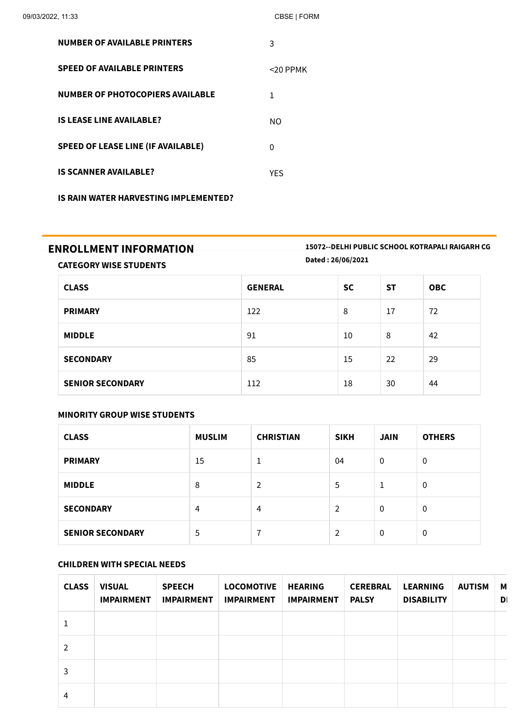| 09/03/2022, 11:33                         | CBSE   FORM |
|-------------------------------------------|-------------|
| <b>NUMBER OF AVAILABLE PRINTERS</b>       | 3           |
| <b>SPEED OF AVAILABLE PRINTERS</b>        | <20 PPMK    |
| <b>NUMBER OF PHOTOCOPIERS AVAILABLE</b>   | 1           |
| <b>IS LEASE LINE AVAILABLE?</b>           | NO.         |
| <b>SPEED OF LEASE LINE (IF AVAILABLE)</b> | 0           |
| <b>IS SCANNER AVAILABLE?</b>              | YFS         |
|                                           |             |

**IS RAIN WATER HARVESTING IMPLEMENTED?**

**ENROLLMENT INFORMATION 15072--DELHI PUBLIC SCHOOL KOTRAPALI RAIGARH CG Dated : 26/06/2021**

**CATEGORY WISE STUDENTS**

| <b>CLASS</b>            | <b>GENERAL</b> | <b>SC</b> | <b>ST</b> | <b>OBC</b> |
|-------------------------|----------------|-----------|-----------|------------|
| <b>PRIMARY</b>          | 122            | 8         | 17        | 72         |
| <b>MIDDLE</b>           | 91             | 10        | 8         | 42         |
| <b>SECONDARY</b>        | 85             | 15        | 22        | 29         |
| <b>SENIOR SECONDARY</b> | 112            | 18        | 30        | 44         |

#### **MINORITY GROUP WISE STUDENTS**

| <b>CLASS</b>            | <b>MUSLIM</b> | <b>CHRISTIAN</b> | <b>SIKH</b>    | <b>JAIN</b> | <b>OTHERS</b> |
|-------------------------|---------------|------------------|----------------|-------------|---------------|
| <b>PRIMARY</b>          | 15            |                  | 04             | 0           | 0             |
| <b>MIDDLE</b>           | 8             | 2                | 5              | 1           | 0             |
| <b>SECONDARY</b>        | 4             | 4                | $\overline{2}$ | 0           | 0             |
| <b>SENIOR SECONDARY</b> | 5             | 7                | $\overline{2}$ | 0           | 0             |

#### **CHILDREN WITH SPECIAL NEEDS**

| <b>CLASS</b>  | <b>VISUAL</b><br><b>IMPAIRMENT</b> | <b>SPEECH</b><br><b>IMPAIRMENT</b> | <b>LOCOMOTIVE</b><br><b>IMPAIRMENT</b> | <b>HEARING</b><br><b>IMPAIRMENT</b> | <b>CEREBRAL</b><br><b>PALSY</b> | <b>LEARNING</b><br><b>DISABILITY</b> | <b>AUTISM</b> | М<br>D |
|---------------|------------------------------------|------------------------------------|----------------------------------------|-------------------------------------|---------------------------------|--------------------------------------|---------------|--------|
|               |                                    |                                    |                                        |                                     |                                 |                                      |               |        |
| $\mathcal{P}$ |                                    |                                    |                                        |                                     |                                 |                                      |               |        |
| 3             |                                    |                                    |                                        |                                     |                                 |                                      |               |        |
| 4             |                                    |                                    |                                        |                                     |                                 |                                      |               |        |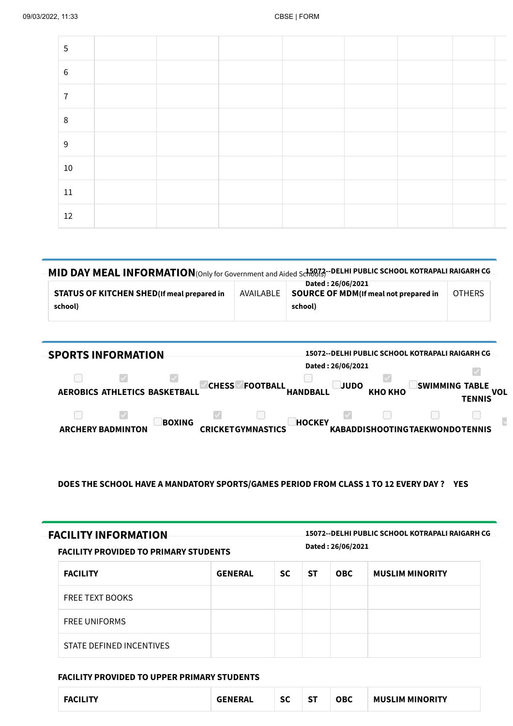| 5                 |  |  |  |  |
|-------------------|--|--|--|--|
| $\,6\,$           |  |  |  |  |
| 7                 |  |  |  |  |
| 8                 |  |  |  |  |
| 9                 |  |  |  |  |
| 10 <sub>1</sub>   |  |  |  |  |
| $11\,$            |  |  |  |  |
| $12 \overline{ }$ |  |  |  |  |

| MID DAY MEAL INFORMATION (Only for Government and Aided Schools-DELHI PUBLIC SCHOOL KOTRAPALI RAIGARH CG |           |                                                                               |               |  |  |  |
|----------------------------------------------------------------------------------------------------------|-----------|-------------------------------------------------------------------------------|---------------|--|--|--|
| <b>STATUS OF KITCHEN SHED(If meal prepared in</b><br>school)                                             | AVAILABLE | Dated: 26/06/2021<br><b>SOURCE OF MDM</b> (If meal not prepared in<br>school) | <b>OTHERS</b> |  |  |  |

| <b>SPORTS INFORMATION</b>                 | 15072--DELHI PUBLIC SCHOOL KOTRAPALI RAIGARH CG                                                   |                                        |
|-------------------------------------------|---------------------------------------------------------------------------------------------------|----------------------------------------|
| AEROBICS ATHLETICS BASKETBALL             | Dated: 26/06/2021<br><b>CHESS</b><br><b>FOOTBALL</b><br><b>JUDO</b><br>КНО КНО<br><b>HANDBALL</b> | <b>SWIMMING TABLE</b><br>voι<br>TENNIS |
| <b>BOXING</b><br><b>ARCHERY BADMINTON</b> | <b>HOCKEY</b><br><b>CRICKETGYMNASTICS</b><br><b>KABADDISHOOTINGTAEKWONDOTENNIS</b>                |                                        |

**DOES THE SCHOOL HAVE A MANDATORY SPORTS/GAMES PERIOD FROM CLASS 1 TO 12 EVERY DAY ? YES**

| <b>FACILITY INFORMATION</b>                  | 15072--DELHI PUBLIC SCHOOL KOTRAPALI RAIGARH CG |
|----------------------------------------------|-------------------------------------------------|
| <b>FACILITY PROVIDED TO PRIMARY STUDENTS</b> | Dated: 26/06/2021                               |

| <b>FACILITY</b>          | <b>GENERAL</b> | <b>SC</b> | <b>ST</b> | <b>OBC</b> | <b>MUSLIM MINORITY</b> |
|--------------------------|----------------|-----------|-----------|------------|------------------------|
| <b>FREE TEXT BOOKS</b>   |                |           |           |            |                        |
| <b>FREE UNIFORMS</b>     |                |           |           |            |                        |
| STATE DEFINED INCENTIVES |                |           |           |            |                        |

#### **FACILITY PROVIDED TO UPPER PRIMARY STUDENTS**

| <b>SC</b><br><b>ST</b><br><b>MUSLIM MINORITY</b><br><b>OBC</b><br><b>GENERAI</b><br>$ -$ |
|------------------------------------------------------------------------------------------|
|------------------------------------------------------------------------------------------|